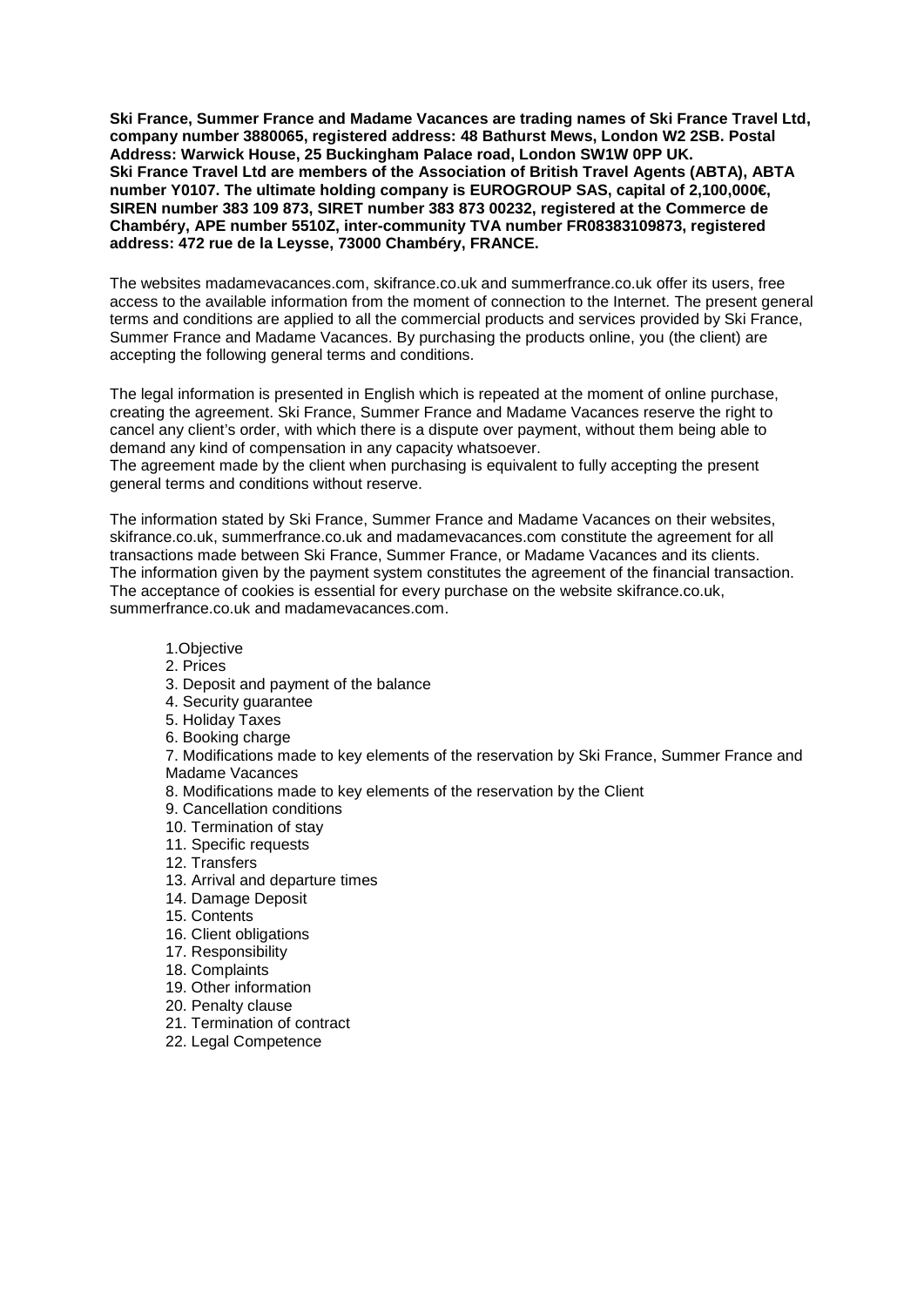**Ski France, Summer France and Madame Vacances are trading names of Ski France Travel Ltd, company number 3880065, registered address: 48 Bathurst Mews, London W2 2SB. Postal Address: Warwick House, 25 Buckingham Palace road, London SW1W 0PP UK. Ski France Travel Ltd are members of the Association of British Travel Agents (ABTA), ABTA number Y0107. The ultimate holding company is EUROGROUP SAS, capital of 2,100,000€, SIREN number 383 109 873, SIRET number 383 873 00232, registered at the Commerce de Chambéry, APE number 5510Z, inter-community TVA number FR08383109873, registered address: 472 rue de la Leysse, 73000 Chambéry, FRANCE.** 

The websites madamevacances.com, skifrance.co.uk and summerfrance.co.uk offer its users, free access to the available information from the moment of connection to the Internet. The present general terms and conditions are applied to all the commercial products and services provided by Ski France, Summer France and Madame Vacances. By purchasing the products online, you (the client) are accepting the following general terms and conditions.

The legal information is presented in English which is repeated at the moment of online purchase, creating the agreement. Ski France, Summer France and Madame Vacances reserve the right to cancel any client's order, with which there is a dispute over payment, without them being able to demand any kind of compensation in any capacity whatsoever.

The agreement made by the client when purchasing is equivalent to fully accepting the present general terms and conditions without reserve.

The information stated by Ski France, Summer France and Madame Vacances on their websites, skifrance.co.uk, summerfrance.co.uk and madamevacances.com constitute the agreement for all transactions made between Ski France, Summer France, or Madame Vacances and its clients. The information given by the payment system constitutes the agreement of the financial transaction. The acceptance of cookies is essential for every purchase on the website skifrance.co.uk, summerfrance.co.uk and madamevacances.com.

- 1.Objective
- 2. Prices
- 3. Deposit and payment of the balance
- 4. Security guarantee
- 5. Holiday Taxes
- 6. Booking charge

7. Modifications made to key elements of the reservation by Ski France, Summer France and Madame Vacances

8. Modifications made to key elements of the reservation by the Client

9. Cancellation conditions

- 10. Termination of stay
- 11. Specific requests
- 12. Transfers
- 13. Arrival and departure times
- 14. Damage Deposit
- 15. Contents
- 16. Client obligations
- 17. Responsibility
- 18. Complaints
- 19. Other information
- 20. Penalty clause
- 21. Termination of contract
- 22. Legal Competence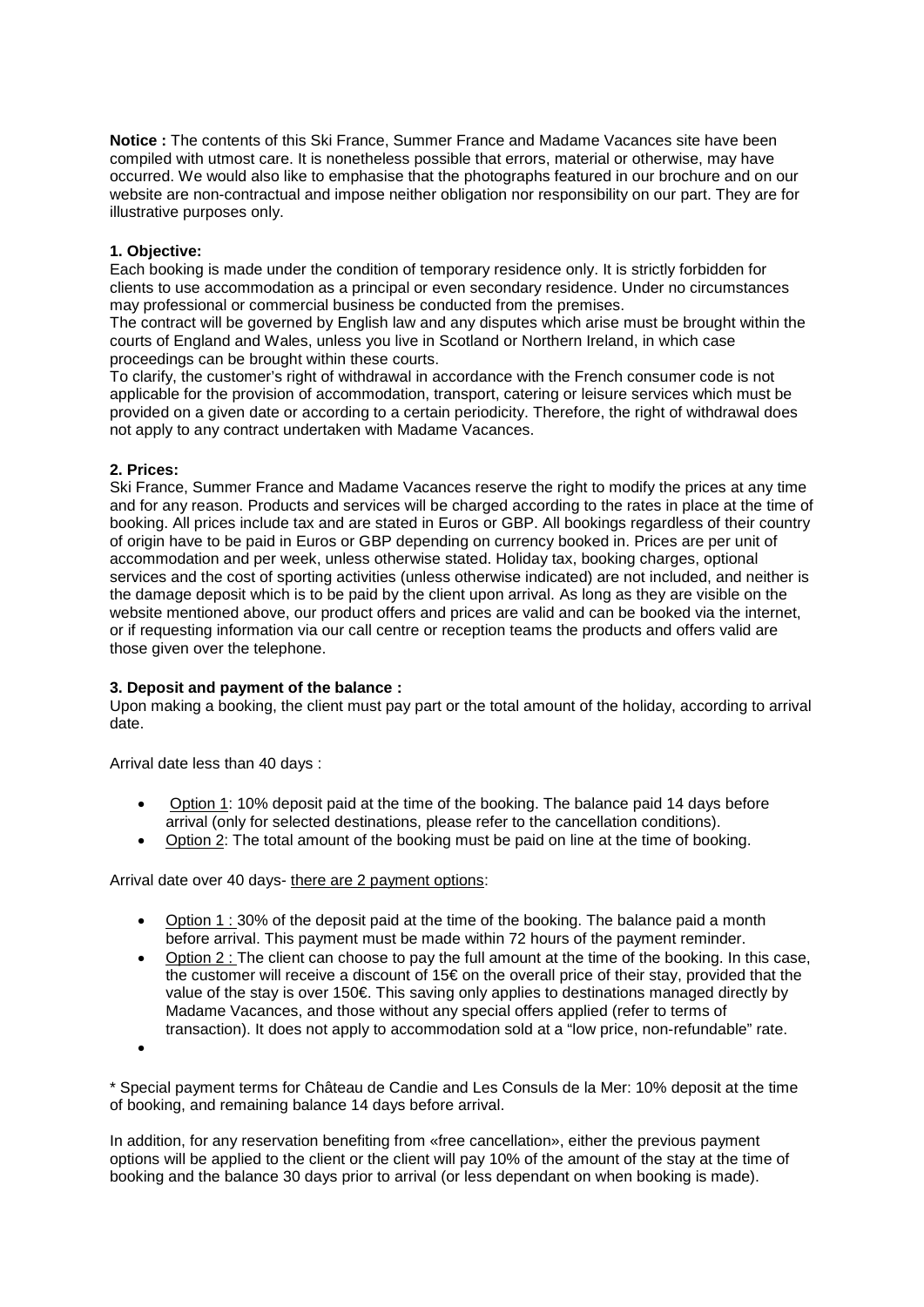**Notice :** The contents of this Ski France, Summer France and Madame Vacances site have been compiled with utmost care. It is nonetheless possible that errors, material or otherwise, may have occurred. We would also like to emphasise that the photographs featured in our brochure and on our website are non-contractual and impose neither obligation nor responsibility on our part. They are for illustrative purposes only.

# **1. Objective:**

Each booking is made under the condition of temporary residence only. It is strictly forbidden for clients to use accommodation as a principal or even secondary residence. Under no circumstances may professional or commercial business be conducted from the premises.

The contract will be governed by English law and any disputes which arise must be brought within the courts of England and Wales, unless you live in Scotland or Northern Ireland, in which case proceedings can be brought within these courts.

To clarify, the customer's right of withdrawal in accordance with the French consumer code is not applicable for the provision of accommodation, transport, catering or leisure services which must be provided on a given date or according to a certain periodicity. Therefore, the right of withdrawal does not apply to any contract undertaken with Madame Vacances.

## **2. Prices:**

Ski France, Summer France and Madame Vacances reserve the right to modify the prices at any time and for any reason. Products and services will be charged according to the rates in place at the time of booking. All prices include tax and are stated in Euros or GBP. All bookings regardless of their country of origin have to be paid in Euros or GBP depending on currency booked in. Prices are per unit of accommodation and per week, unless otherwise stated. Holiday tax, booking charges, optional services and the cost of sporting activities (unless otherwise indicated) are not included, and neither is the damage deposit which is to be paid by the client upon arrival. As long as they are visible on the website mentioned above, our product offers and prices are valid and can be booked via the internet, or if requesting information via our call centre or reception teams the products and offers valid are those given over the telephone.

## **3. Deposit and payment of the balance :**

Upon making a booking, the client must pay part or the total amount of the holiday, according to arrival date.

Arrival date less than 40 days :

- Option 1: 10% deposit paid at the time of the booking. The balance paid 14 days before arrival (only for selected destinations, please refer to the cancellation conditions).
- Option 2: The total amount of the booking must be paid on line at the time of booking.

Arrival date over 40 days- there are 2 payment options:

- Option 1 : 30% of the deposit paid at the time of the booking. The balance paid a month before arrival. This payment must be made within 72 hours of the payment reminder.
- Option 2 : The client can choose to pay the full amount at the time of the booking. In this case, the customer will receive a discount of 15€ on the overall price of their stay, provided that the value of the stay is over 150€. This saving only applies to destinations managed directly by Madame Vacances, and those without any special offers applied (refer to terms of transaction). It does not apply to accommodation sold at a "low price, non-refundable" rate.

•

\* Special payment terms for Château de Candie and Les Consuls de la Mer: 10% deposit at the time of booking, and remaining balance 14 days before arrival.

In addition, for any reservation benefiting from «free cancellation», either the previous payment options will be applied to the client or the client will pay 10% of the amount of the stay at the time of booking and the balance 30 days prior to arrival (or less dependant on when booking is made).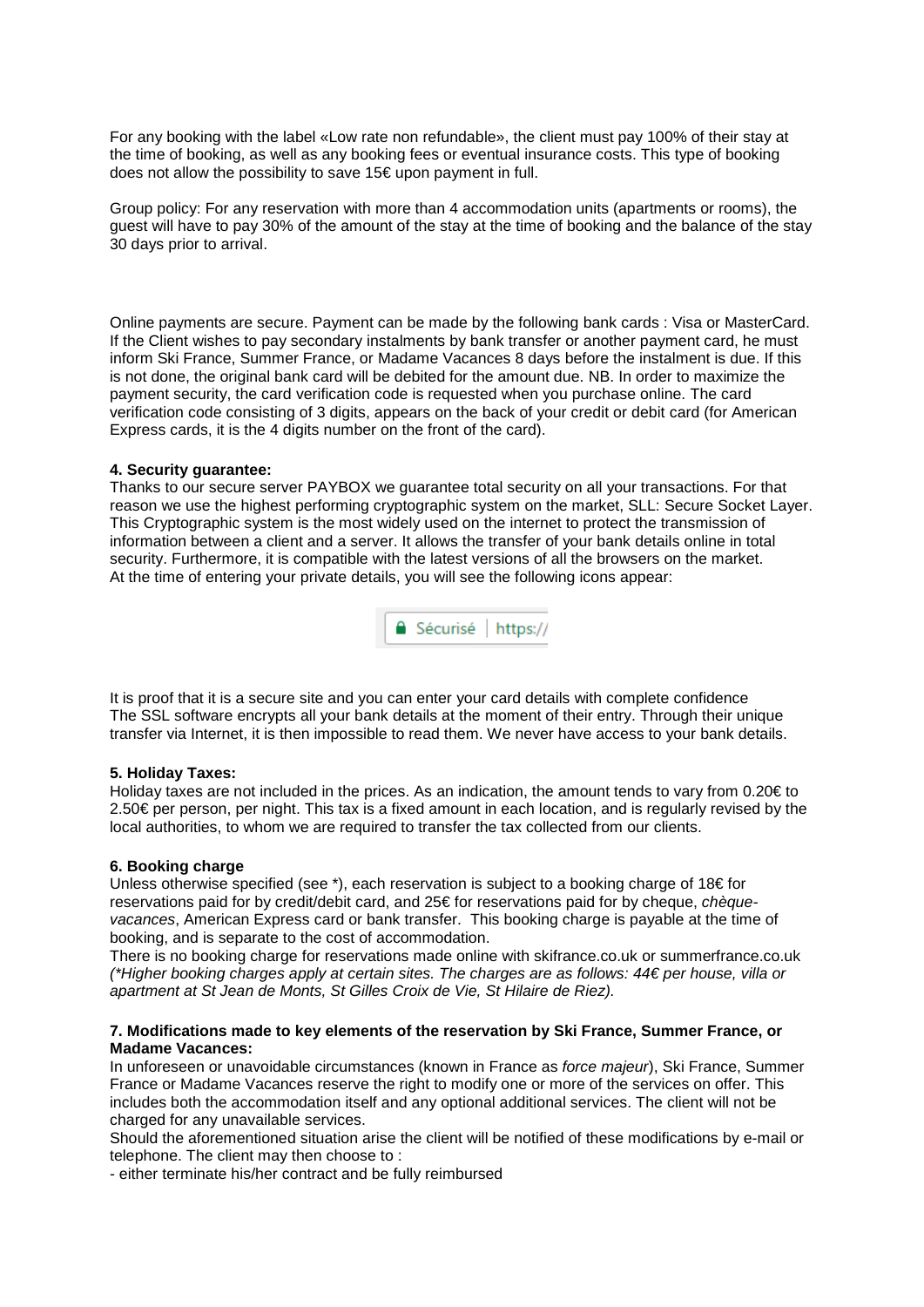For any booking with the label «Low rate non refundable», the client must pay 100% of their stay at the time of booking, as well as any booking fees or eventual insurance costs. This type of booking does not allow the possibility to save 15€ upon payment in full.

Group policy: For any reservation with more than 4 accommodation units (apartments or rooms), the guest will have to pay 30% of the amount of the stay at the time of booking and the balance of the stay 30 days prior to arrival.

Online payments are secure. Payment can be made by the following bank cards : Visa or MasterCard. If the Client wishes to pay secondary instalments by bank transfer or another payment card, he must inform Ski France, Summer France, or Madame Vacances 8 days before the instalment is due. If this is not done, the original bank card will be debited for the amount due. NB. In order to maximize the payment security, the card verification code is requested when you purchase online. The card verification code consisting of 3 digits, appears on the back of your credit or debit card (for American Express cards, it is the 4 digits number on the front of the card).

## **4. Security guarantee:**

Thanks to our secure server PAYBOX we guarantee total security on all your transactions. For that reason we use the highest performing cryptographic system on the market, SLL: Secure Socket Layer. This Cryptographic system is the most widely used on the internet to protect the transmission of information between a client and a server. It allows the transfer of your bank details online in total security. Furthermore, it is compatible with the latest versions of all the browsers on the market. At the time of entering your private details, you will see the following icons appear:



It is proof that it is a secure site and you can enter your card details with complete confidence The SSL software encrypts all your bank details at the moment of their entry. Through their unique transfer via Internet, it is then impossible to read them. We never have access to your bank details.

## **5. Holiday Taxes:**

Holiday taxes are not included in the prices. As an indication, the amount tends to vary from 0.20€ to 2.50€ per person, per night. This tax is a fixed amount in each location, and is regularly revised by the local authorities, to whom we are required to transfer the tax collected from our clients.

## **6. Booking charge**

Unless otherwise specified (see  $*$ ), each reservation is subject to a booking charge of 18€ for reservations paid for by credit/debit card, and 25€ for reservations paid for by cheque, *chèquevacances*, American Express card or bank transfer. This booking charge is payable at the time of booking, and is separate to the cost of accommodation.

There is no booking charge for reservations made online with skifrance.co.uk or summerfrance.co.uk *(\*Higher booking charges apply at certain sites. The charges are as follows: 44€ per house, villa or apartment at St Jean de Monts, St Gilles Croix de Vie, St Hilaire de Riez).* 

## **7. Modifications made to key elements of the reservation by Ski France, Summer France, or Madame Vacances:**

In unforeseen or unavoidable circumstances (known in France as *force majeur*), Ski France, Summer France or Madame Vacances reserve the right to modify one or more of the services on offer. This includes both the accommodation itself and any optional additional services. The client will not be charged for any unavailable services.

Should the aforementioned situation arise the client will be notified of these modifications by e-mail or telephone. The client may then choose to :

- either terminate his/her contract and be fully reimbursed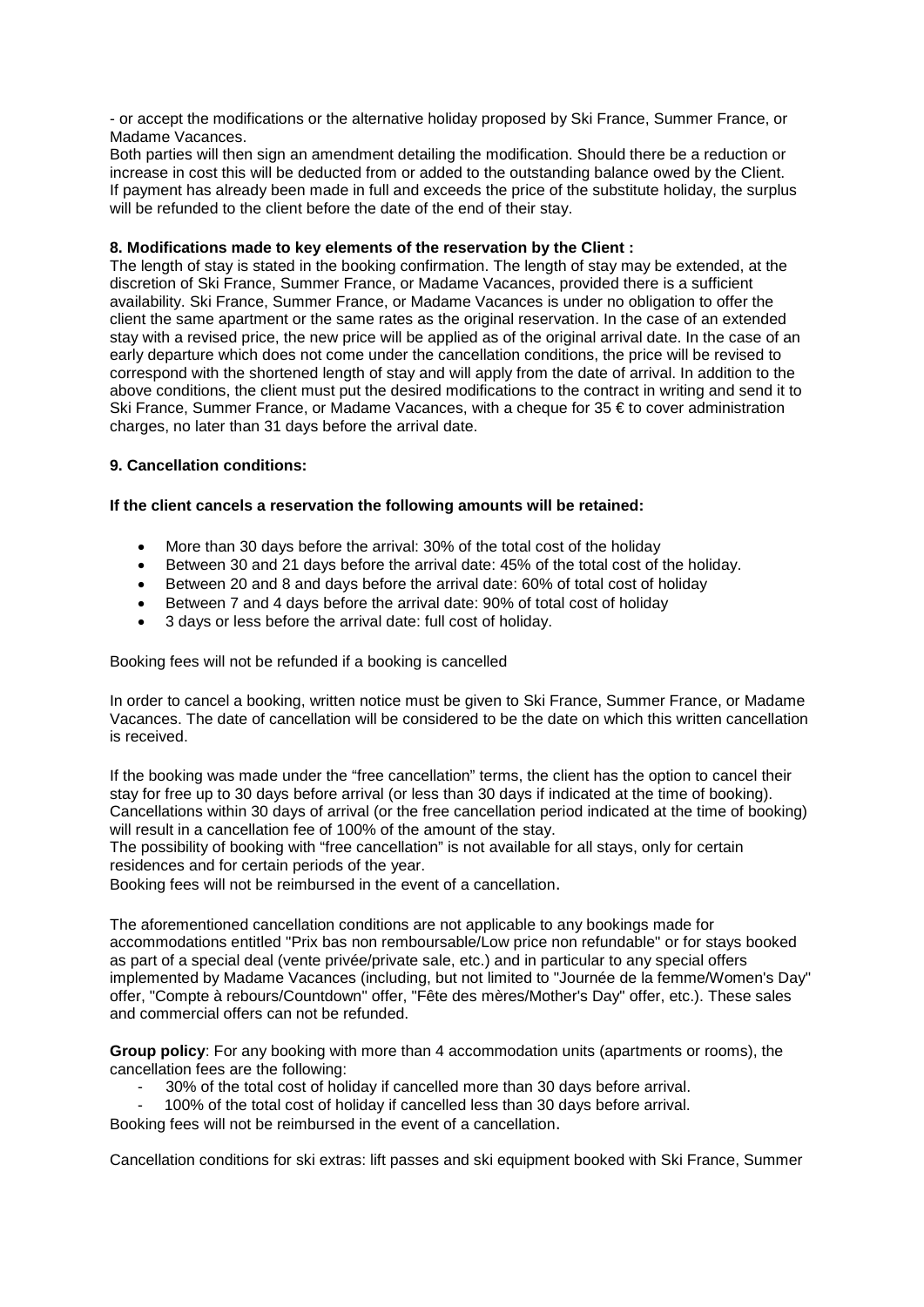- or accept the modifications or the alternative holiday proposed by Ski France, Summer France, or Madame Vacances.

Both parties will then sign an amendment detailing the modification. Should there be a reduction or increase in cost this will be deducted from or added to the outstanding balance owed by the Client. If payment has already been made in full and exceeds the price of the substitute holiday, the surplus will be refunded to the client before the date of the end of their stay.

## **8. Modifications made to key elements of the reservation by the Client :**

The length of stay is stated in the booking confirmation. The length of stay may be extended, at the discretion of Ski France, Summer France, or Madame Vacances, provided there is a sufficient availability. Ski France, Summer France, or Madame Vacances is under no obligation to offer the client the same apartment or the same rates as the original reservation. In the case of an extended stay with a revised price, the new price will be applied as of the original arrival date. In the case of an early departure which does not come under the cancellation conditions, the price will be revised to correspond with the shortened length of stay and will apply from the date of arrival. In addition to the above conditions, the client must put the desired modifications to the contract in writing and send it to Ski France, Summer France, or Madame Vacances, with a cheque for 35 € to cover administration charges, no later than 31 days before the arrival date.

## **9. Cancellation conditions:**

## **If the client cancels a reservation the following amounts will be retained:**

- More than 30 days before the arrival: 30% of the total cost of the holiday
- Between 30 and 21 days before the arrival date: 45% of the total cost of the holiday.
- Between 20 and 8 and days before the arrival date: 60% of total cost of holiday
- Between 7 and 4 days before the arrival date: 90% of total cost of holiday
- 3 days or less before the arrival date: full cost of holiday.

Booking fees will not be refunded if a booking is cancelled

In order to cancel a booking, written notice must be given to Ski France, Summer France, or Madame Vacances. The date of cancellation will be considered to be the date on which this written cancellation is received.

If the booking was made under the "free cancellation" terms, the client has the option to cancel their stay for free up to 30 days before arrival (or less than 30 days if indicated at the time of booking). Cancellations within 30 days of arrival (or the free cancellation period indicated at the time of booking) will result in a cancellation fee of 100% of the amount of the stay.

The possibility of booking with "free cancellation" is not available for all stays, only for certain residences and for certain periods of the year.

Booking fees will not be reimbursed in the event of a cancellation.

The aforementioned cancellation conditions are not applicable to any bookings made for accommodations entitled "Prix bas non remboursable/Low price non refundable" or for stays booked as part of a special deal (vente privée/private sale, etc.) and in particular to any special offers implemented by Madame Vacances (including, but not limited to "Journée de la femme/Women's Day" offer, "Compte à rebours/Countdown" offer, "Fête des mères/Mother's Day" offer, etc.). These sales and commercial offers can not be refunded.

**Group policy**: For any booking with more than 4 accommodation units (apartments or rooms), the cancellation fees are the following:

- 30% of the total cost of holiday if cancelled more than 30 days before arrival.
- 100% of the total cost of holiday if cancelled less than 30 days before arrival.

Booking fees will not be reimbursed in the event of a cancellation.

Cancellation conditions for ski extras: lift passes and ski equipment booked with Ski France, Summer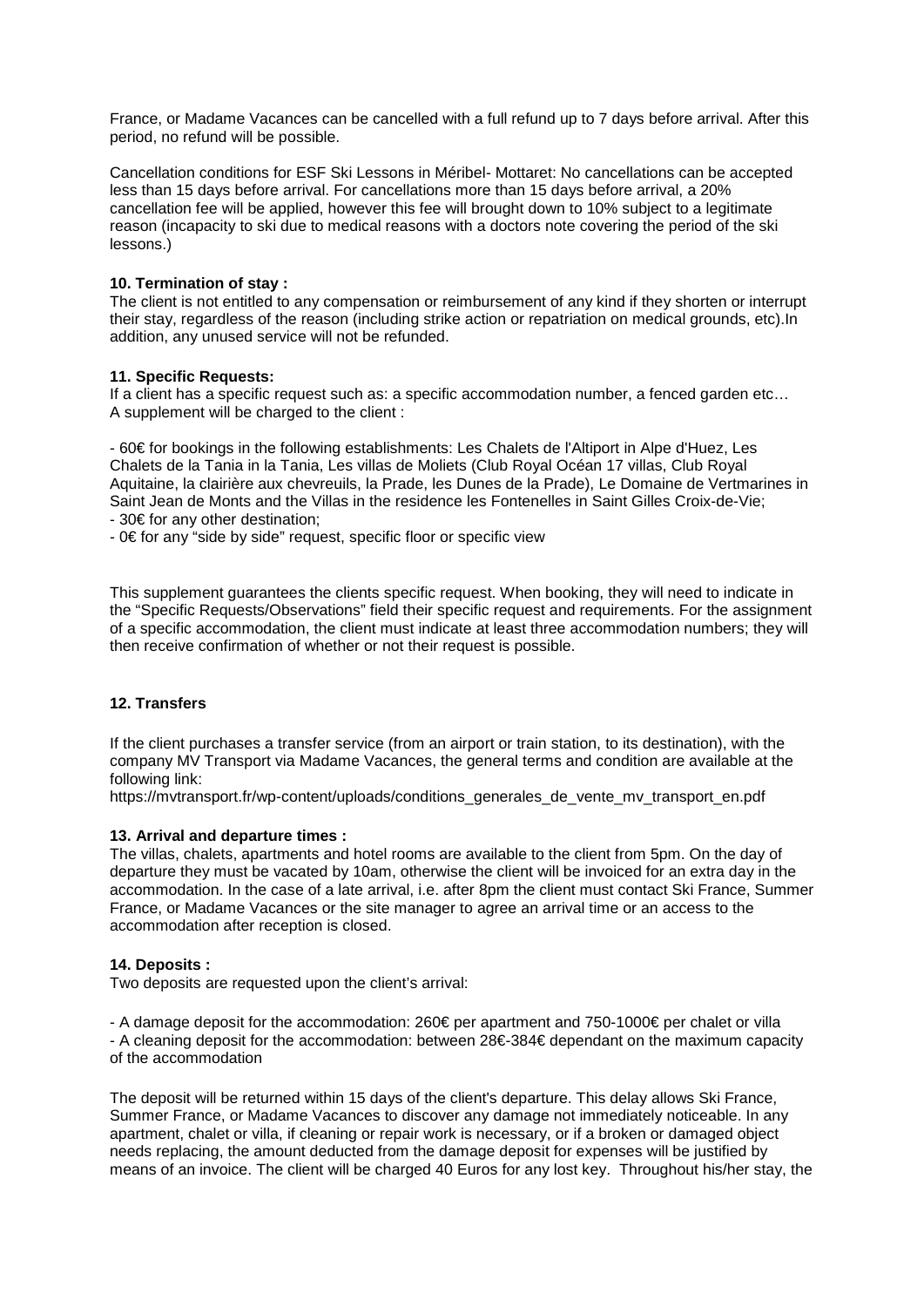France, or Madame Vacances can be cancelled with a full refund up to 7 days before arrival. After this period, no refund will be possible.

Cancellation conditions for ESF Ski Lessons in Méribel- Mottaret: No cancellations can be accepted less than 15 days before arrival. For cancellations more than 15 days before arrival, a 20% cancellation fee will be applied, however this fee will brought down to 10% subject to a legitimate reason (incapacity to ski due to medical reasons with a doctors note covering the period of the ski lessons.)

## **10. Termination of stay :**

The client is not entitled to any compensation or reimbursement of any kind if they shorten or interrupt their stay, regardless of the reason (including strike action or repatriation on medical grounds, etc).In addition, any unused service will not be refunded.

### **11. Specific Requests:**

If a client has a specific request such as: a specific accommodation number, a fenced garden etc… A supplement will be charged to the client :

- 60€ for bookings in the following establishments: Les Chalets de l'Altiport in Alpe d'Huez, Les Chalets de la Tania in la Tania, Les villas de Moliets (Club Royal Océan 17 villas, Club Royal Aquitaine, la clairière aux chevreuils, la Prade, les Dunes de la Prade), Le Domaine de Vertmarines in Saint Jean de Monts and the Villas in the residence les Fontenelles in Saint Gilles Croix-de-Vie; - 30€ for any other destination;

- 0€ for any "side by side" request, specific floor or specific view

This supplement guarantees the clients specific request. When booking, they will need to indicate in the "Specific Requests/Observations" field their specific request and requirements. For the assignment of a specific accommodation, the client must indicate at least three accommodation numbers; they will then receive confirmation of whether or not their request is possible.

## **12. Transfers**

If the client purchases a transfer service (from an airport or train station, to its destination), with the company MV Transport via Madame Vacances, the general terms and condition are available at the following link:

https://mvtransport.fr/wp-content/uploads/conditions\_generales\_de\_vente\_mv\_transport\_en.pdf

#### **13. Arrival and departure times :**

The villas, chalets, apartments and hotel rooms are available to the client from 5pm. On the day of departure they must be vacated by 10am, otherwise the client will be invoiced for an extra day in the accommodation. In the case of a late arrival, i.e. after 8pm the client must contact Ski France, Summer France, or Madame Vacances or the site manager to agree an arrival time or an access to the accommodation after reception is closed.

## **14. Deposits :**

Two deposits are requested upon the client's arrival:

- A damage deposit for the accommodation: 260€ per apartment and 750-1000€ per chalet or villa - A cleaning deposit for the accommodation: between 28€-384€ dependant on the maximum capacity of the accommodation

The deposit will be returned within 15 days of the client's departure. This delay allows Ski France, Summer France, or Madame Vacances to discover any damage not immediately noticeable. In any apartment, chalet or villa, if cleaning or repair work is necessary, or if a broken or damaged object needs replacing, the amount deducted from the damage deposit for expenses will be justified by means of an invoice. The client will be charged 40 Euros for any lost key. Throughout his/her stay, the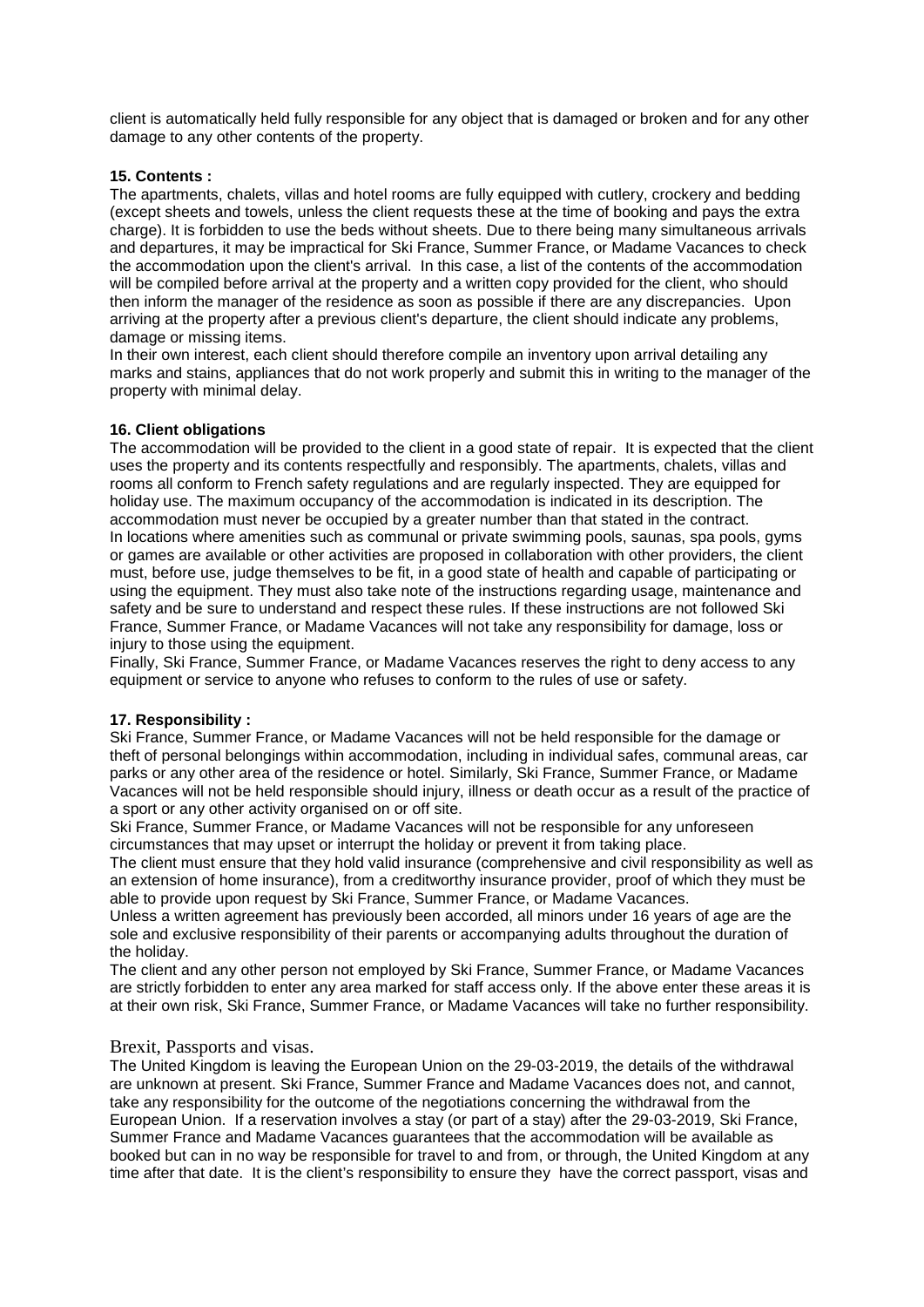client is automatically held fully responsible for any object that is damaged or broken and for any other damage to any other contents of the property.

## **15. Contents :**

The apartments, chalets, villas and hotel rooms are fully equipped with cutlery, crockery and bedding (except sheets and towels, unless the client requests these at the time of booking and pays the extra charge). It is forbidden to use the beds without sheets. Due to there being many simultaneous arrivals and departures, it may be impractical for Ski France, Summer France, or Madame Vacances to check the accommodation upon the client's arrival. In this case, a list of the contents of the accommodation will be compiled before arrival at the property and a written copy provided for the client, who should then inform the manager of the residence as soon as possible if there are any discrepancies. Upon arriving at the property after a previous client's departure, the client should indicate any problems, damage or missing items.

In their own interest, each client should therefore compile an inventory upon arrival detailing any marks and stains, appliances that do not work properly and submit this in writing to the manager of the property with minimal delay.

# **16. Client obligations**

The accommodation will be provided to the client in a good state of repair. It is expected that the client uses the property and its contents respectfully and responsibly. The apartments, chalets, villas and rooms all conform to French safety regulations and are regularly inspected. They are equipped for holiday use. The maximum occupancy of the accommodation is indicated in its description. The accommodation must never be occupied by a greater number than that stated in the contract. In locations where amenities such as communal or private swimming pools, saunas, spa pools, gyms or games are available or other activities are proposed in collaboration with other providers, the client must, before use, judge themselves to be fit, in a good state of health and capable of participating or using the equipment. They must also take note of the instructions regarding usage, maintenance and safety and be sure to understand and respect these rules. If these instructions are not followed Ski France, Summer France, or Madame Vacances will not take any responsibility for damage, loss or injury to those using the equipment.

Finally, Ski France, Summer France, or Madame Vacances reserves the right to deny access to any equipment or service to anyone who refuses to conform to the rules of use or safety.

## **17. Responsibility :**

Ski France, Summer France, or Madame Vacances will not be held responsible for the damage or theft of personal belongings within accommodation, including in individual safes, communal areas, car parks or any other area of the residence or hotel. Similarly, Ski France, Summer France, or Madame Vacances will not be held responsible should injury, illness or death occur as a result of the practice of a sport or any other activity organised on or off site.

Ski France, Summer France, or Madame Vacances will not be responsible for any unforeseen circumstances that may upset or interrupt the holiday or prevent it from taking place.

The client must ensure that they hold valid insurance (comprehensive and civil responsibility as well as an extension of home insurance), from a creditworthy insurance provider, proof of which they must be able to provide upon request by Ski France, Summer France, or Madame Vacances.

Unless a written agreement has previously been accorded, all minors under 16 years of age are the sole and exclusive responsibility of their parents or accompanying adults throughout the duration of the holiday.

The client and any other person not employed by Ski France, Summer France, or Madame Vacances are strictly forbidden to enter any area marked for staff access only. If the above enter these areas it is at their own risk, Ski France, Summer France, or Madame Vacances will take no further responsibility.

## Brexit, Passports and visas.

The United Kingdom is leaving the European Union on the 29-03-2019, the details of the withdrawal are unknown at present. Ski France, Summer France and Madame Vacances does not, and cannot, take any responsibility for the outcome of the negotiations concerning the withdrawal from the European Union. If a reservation involves a stay (or part of a stay) after the 29-03-2019, Ski France, Summer France and Madame Vacances guarantees that the accommodation will be available as booked but can in no way be responsible for travel to and from, or through, the United Kingdom at any time after that date. It is the client's responsibility to ensure they have the correct passport, visas and